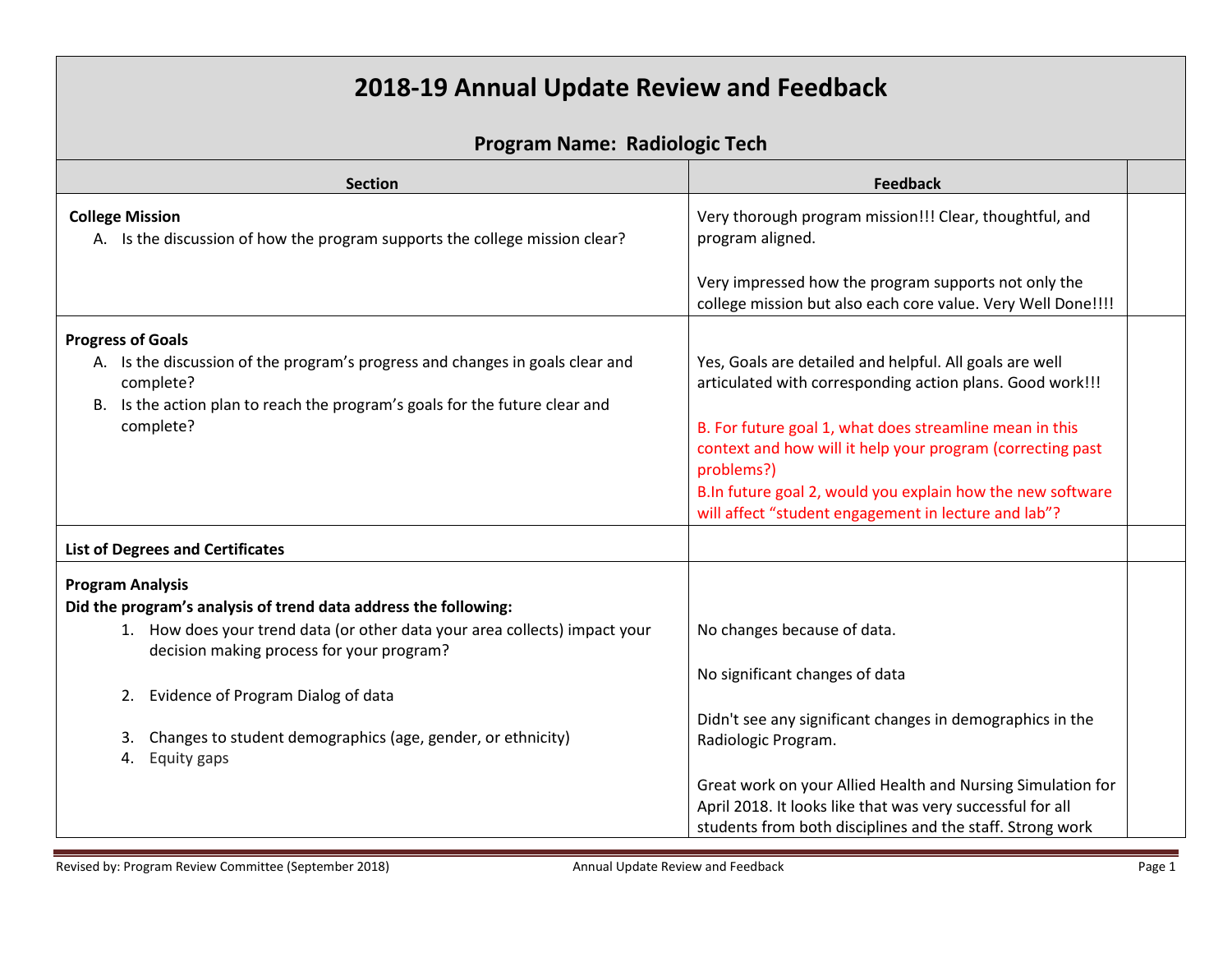## **2018-19 Annual Update Review and Feedback**

## **Program Name: Radiologic Tech**

| <b>Section</b>                                                                                                          | <b>Feedback</b>                                                                                                                                                                        |
|-------------------------------------------------------------------------------------------------------------------------|----------------------------------------------------------------------------------------------------------------------------------------------------------------------------------------|
| <b>College Mission</b><br>A. Is the discussion of how the program supports the college mission clear?                   | Very thorough program mission!!! Clear, thoughtful, and<br>program aligned.                                                                                                            |
|                                                                                                                         | Very impressed how the program supports not only the<br>college mission but also each core value. Very Well Done!!!!                                                                   |
| <b>Progress of Goals</b>                                                                                                |                                                                                                                                                                                        |
| A. Is the discussion of the program's progress and changes in goals clear and<br>complete?                              | Yes, Goals are detailed and helpful. All goals are well<br>articulated with corresponding action plans. Good work!!!                                                                   |
| B. Is the action plan to reach the program's goals for the future clear and<br>complete?                                | B. For future goal 1, what does streamline mean in this<br>context and how will it help your program (correcting past<br>problems?)                                                    |
|                                                                                                                         | B.In future goal 2, would you explain how the new software<br>will affect "student engagement in lecture and lab"?                                                                     |
| <b>List of Degrees and Certificates</b>                                                                                 |                                                                                                                                                                                        |
| <b>Program Analysis</b>                                                                                                 |                                                                                                                                                                                        |
| Did the program's analysis of trend data address the following:                                                         |                                                                                                                                                                                        |
| 1. How does your trend data (or other data your area collects) impact your<br>decision making process for your program? | No changes because of data.                                                                                                                                                            |
|                                                                                                                         | No significant changes of data                                                                                                                                                         |
| Evidence of Program Dialog of data<br>2.                                                                                |                                                                                                                                                                                        |
| Changes to student demographics (age, gender, or ethnicity)<br>Equity gaps<br>4.                                        | Didn't see any significant changes in demographics in the<br>Radiologic Program.                                                                                                       |
|                                                                                                                         | Great work on your Allied Health and Nursing Simulation for<br>April 2018. It looks like that was very successful for all<br>students from both disciplines and the staff. Strong work |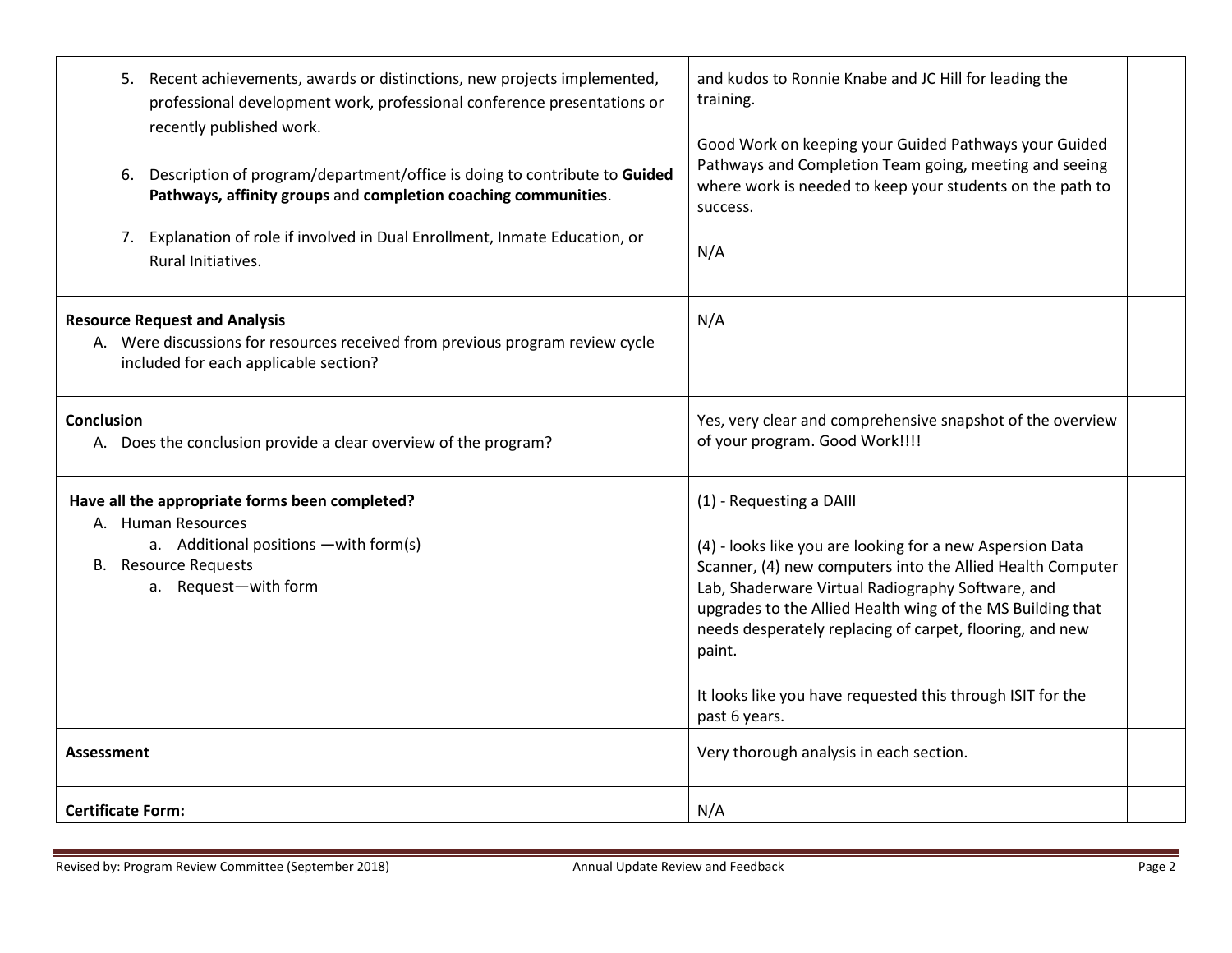| 5. Recent achievements, awards or distinctions, new projects implemented,<br>professional development work, professional conference presentations or<br>recently published work.<br>6. Description of program/department/office is doing to contribute to Guided<br>Pathways, affinity groups and completion coaching communities.<br>7. Explanation of role if involved in Dual Enrollment, Inmate Education, or<br>Rural Initiatives. | and kudos to Ronnie Knabe and JC Hill for leading the<br>training.<br>Good Work on keeping your Guided Pathways your Guided<br>Pathways and Completion Team going, meeting and seeing<br>where work is needed to keep your students on the path to<br>success.<br>N/A                                                                        |
|-----------------------------------------------------------------------------------------------------------------------------------------------------------------------------------------------------------------------------------------------------------------------------------------------------------------------------------------------------------------------------------------------------------------------------------------|----------------------------------------------------------------------------------------------------------------------------------------------------------------------------------------------------------------------------------------------------------------------------------------------------------------------------------------------|
| <b>Resource Request and Analysis</b><br>A. Were discussions for resources received from previous program review cycle<br>included for each applicable section?                                                                                                                                                                                                                                                                          | N/A                                                                                                                                                                                                                                                                                                                                          |
| <b>Conclusion</b><br>A. Does the conclusion provide a clear overview of the program?                                                                                                                                                                                                                                                                                                                                                    | Yes, very clear and comprehensive snapshot of the overview<br>of your program. Good Work!!!!                                                                                                                                                                                                                                                 |
| Have all the appropriate forms been completed?<br>A. Human Resources<br>a. Additional positions - with form(s)<br><b>B.</b> Resource Requests<br>a. Request-with form                                                                                                                                                                                                                                                                   | (1) - Requesting a DAIII<br>(4) - looks like you are looking for a new Aspersion Data<br>Scanner, (4) new computers into the Allied Health Computer<br>Lab, Shaderware Virtual Radiography Software, and<br>upgrades to the Allied Health wing of the MS Building that<br>needs desperately replacing of carpet, flooring, and new<br>paint. |
|                                                                                                                                                                                                                                                                                                                                                                                                                                         | It looks like you have requested this through ISIT for the<br>past 6 years.                                                                                                                                                                                                                                                                  |
| <b>Assessment</b>                                                                                                                                                                                                                                                                                                                                                                                                                       | Very thorough analysis in each section.                                                                                                                                                                                                                                                                                                      |
| <b>Certificate Form:</b>                                                                                                                                                                                                                                                                                                                                                                                                                | N/A                                                                                                                                                                                                                                                                                                                                          |